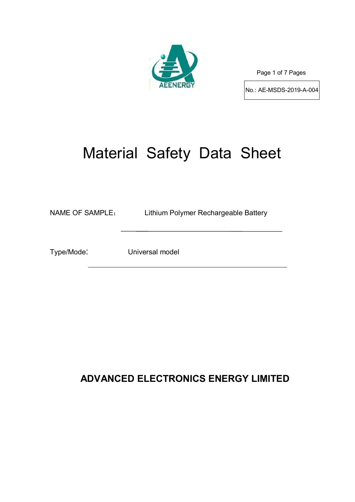

Page 1 of 7 Pages

No.: AE-MSDS-2019-A-004

# Material Safety Data Sheet

NAME OF SAMPLE: Lithium Polymer Rechargeable Battery

Type/Mode: Universal model

# **ADVANCED ELECTRONICS ENERGY LIMITED**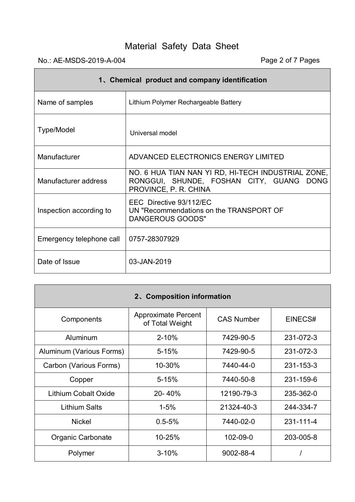# No.: AE-MSDS-2019-A-004 Page 2 of 7 Pages

 $\blacksquare$ 

| 1. Chemical product and company identification |                                                                                                                         |  |  |  |  |
|------------------------------------------------|-------------------------------------------------------------------------------------------------------------------------|--|--|--|--|
| Name of samples                                | Lithium Polymer Rechargeable Battery                                                                                    |  |  |  |  |
| Type/Model                                     | Universal model                                                                                                         |  |  |  |  |
| Manufacturer                                   | ADVANCED ELECTRONICS ENERGY LIMITED                                                                                     |  |  |  |  |
| Manufacturer address                           | NO. 6 HUA TIAN NAN YI RD, HI-TECH INDUSTRIAL ZONE,<br>RONGGUI, SHUNDE, FOSHAN CITY, GUANG DONG<br>PROVINCE, P. R. CHINA |  |  |  |  |
| Inspection according to                        | EEC Directive 93/112/EC<br>UN "Recommendations on the TRANSPORT OF<br>DANGEROUS GOODS"                                  |  |  |  |  |
| Emergency telephone call                       | 0757-28307929                                                                                                           |  |  |  |  |
| Date of Issue                                  | 03-JAN-2019                                                                                                             |  |  |  |  |

| 2. Composition information  |                                               |                   |           |  |  |  |  |  |
|-----------------------------|-----------------------------------------------|-------------------|-----------|--|--|--|--|--|
| Components                  | <b>Approximate Percent</b><br>of Total Weight | <b>CAS Number</b> | EINECS#   |  |  |  |  |  |
| Aluminum                    | $2 - 10%$                                     | 7429-90-5         | 231-072-3 |  |  |  |  |  |
| Aluminum (Various Forms)    | $5 - 15%$                                     | 7429-90-5         | 231-072-3 |  |  |  |  |  |
| Carbon (Various Forms)      | 10-30%                                        | 7440-44-0         | 231-153-3 |  |  |  |  |  |
| Copper                      | $5 - 15%$                                     | 7440-50-8         | 231-159-6 |  |  |  |  |  |
| <b>Lithium Cobalt Oxide</b> | 20-40%                                        | 12190-79-3        | 235-362-0 |  |  |  |  |  |
| <b>Lithium Salts</b>        | $1 - 5%$                                      | 21324-40-3        | 244-334-7 |  |  |  |  |  |
| <b>Nickel</b>               | $0.5 - 5%$                                    | 7440-02-0         | 231-111-4 |  |  |  |  |  |
| Organic Carbonate           | 10-25%                                        | 102-09-0          | 203-005-8 |  |  |  |  |  |
| Polymer                     | $3 - 10%$                                     | 9002-88-4         |           |  |  |  |  |  |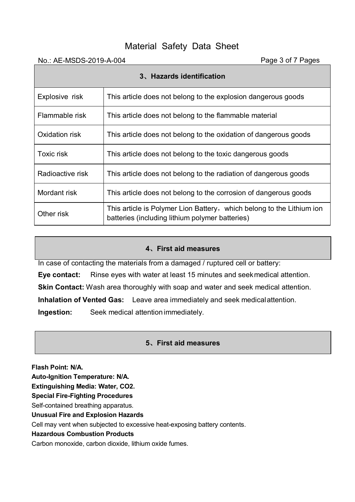| No.: AE-MSDS-2019-A-004   |                                                                                                                          | Page 3 of 7 Pages |  |  |  |
|---------------------------|--------------------------------------------------------------------------------------------------------------------------|-------------------|--|--|--|
| 3. Hazards identification |                                                                                                                          |                   |  |  |  |
| Explosive risk            | This article does not belong to the explosion dangerous goods                                                            |                   |  |  |  |
| Flammable risk            | This article does not belong to the flammable material                                                                   |                   |  |  |  |
| Oxidation risk            | This article does not belong to the oxidation of dangerous goods                                                         |                   |  |  |  |
| Toxic risk                | This article does not belong to the toxic dangerous goods                                                                |                   |  |  |  |
| Radioactive risk          | This article does not belong to the radiation of dangerous goods                                                         |                   |  |  |  |
| Mordant risk              | This article does not belong to the corrosion of dangerous goods                                                         |                   |  |  |  |
| Other risk                | This article is Polymer Lion Battery, which belong to the Lithium ion<br>batteries (including lithium polymer batteries) |                   |  |  |  |

# **4、First aid measures**

In case of contacting the materials from a damaged / ruptured cell or battery:

**Eye contact:** Rinse eyes with water at least 15 minutes and seekmedical attention.

**Skin Contact:** Wash area thoroughly with soap and water and seek medical attention.

**Inhalation of Vented Gas:** Leave area immediately and seek medicalattention.

**Ingestion:** Seek medical attention immediately.

# **5、First aid measures**

**Flash Point: N/A.**

**Auto-Ignition Temperature: N/A.**

**Extinguishing Media: Water, CO2.**

**Special Fire-Fighting Procedures**

Self-contained breathing apparatus.

**Unusual Fire and Explosion Hazards**

Cell may vent when subjected to excessive heat-exposing battery contents.

# **Hazardous Combustion Products**

Carbon monoxide, carbon dioxide, lithium oxide fumes.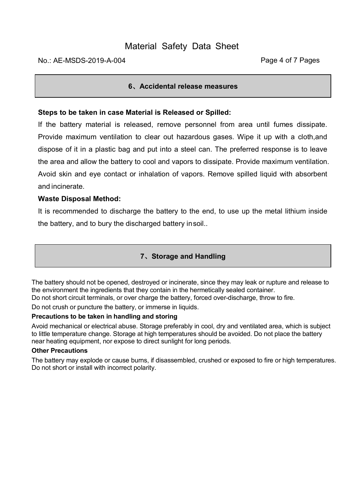# **6、Accidental release measures**

# **Steps to be taken in case Material is Released or Spilled:**

If the battery material is released, remove personnel from area until fumes dissipate. Provide maximum ventilation to clear out hazardous gases. Wipe it up with a cloth,and dispose of it in a plastic bag and put into a steel can. The preferred response is to leave the area and allow the battery to cool and vapors to dissipate. Provide maximum ventilation. Avoid skin and eye contact or inhalation of vapors. Remove spilled liquid with absorbent and incinerate.

# **Waste Disposal Method:**

It is recommended to discharge the battery to the end, to use up the metal lithium inside the battery, and to bury the discharged battery insoil..

# **7、Storage and Handling**

The battery should not be opened, destroyed or incinerate, since they may leak or rupture and release to the environment the ingredients that they contain in the hermetically sealed container. Do not short circuit terminals, or over charge the battery, forced over-discharge, throw to fire.

Do not crush or puncture the battery, or immerse in liquids.

# **Precautions to be taken in handling and storing**

Avoid mechanical or electrical abuse. Storage preferably in cool, dry and ventilated area, which is subject to little temperature change. Storage at high temperatures should be avoided. Do not place the battery near heating equipment, nor expose to direct sunlight for long periods.

#### **Other Precautions**

The battery may explode or cause burns, if disassembled, crushed or exposed to fire or high temperatures. Do not short or install with incorrect polarity.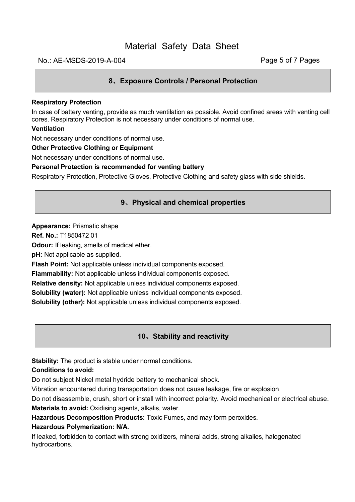#### No.: AE-MSDS-2019-A-004 **Page 5 of 7 Pages**

# **8、Exposure Controls / Personal Protection**

#### **Respiratory Protection**

In case of battery venting, provide as much ventilation as possible. Avoid confined areas with venting cell cores. Respiratory Protection is not necessary under conditions of normal use.

#### **Ventilation**

Not necessary under conditions of normal use.

#### **Other Protective Clothing or Equipment**

Not necessary under conditions of normal use.

#### **Personal Protection is recommended for venting battery**

Respiratory Protection, Protective Gloves, Protective Clothing and safety glass with side shields.

#### **9、Physical and chemical properties**

#### **Appearance:** Prismatic shape

**Ref. No.:** T1850472 01

**Odour:** If leaking, smells of medical ether.

**pH:** Not applicable as supplied.

**Flash Point:** Not applicable unless individual components exposed.

**Flammability:** Not applicable unless individual components exposed.

**Relative density:** Not applicable unless individual components exposed.

**Solubility (water):** Not applicable unless individual components exposed.

**Solubility (other):** Not applicable unless individual components exposed.

# **10、Stability and reactivity**

**Stability:** The product is stable under normal conditions.

#### **Conditions to avoid:**

Do not subject Nickel metal hydride battery to mechanical shock.

Vibration encountered during transportation does not cause leakage, fire or explosion.

Do not disassemble, crush, short or install with incorrect polarity. Avoid mechanical or electrical abuse.

**Materials to avoid:** Oxidising agents, alkalis, water.

**Hazardous Decomposition Products:** Toxic Fumes, and may form peroxides.

#### **Hazardous Polymerization: N/A.**

If leaked, forbidden to contact with strong oxidizers, mineral acids, strong alkalies, halogenated hydrocarbons.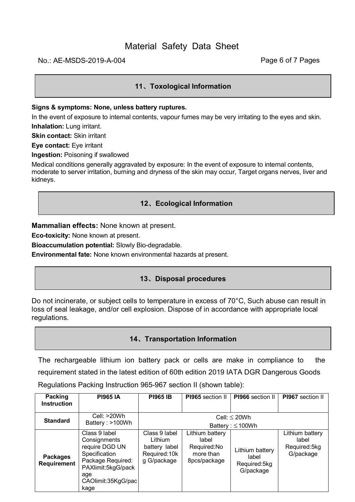# No.: AE-MSDS-2019-A-004 **Page 6 of 7 Pages**

# **11、Toxological Information**

#### **Signs & symptoms: None, unless battery ruptures.**

In the event of exposure to internal contents, vapour fumes may be very irritating to the eyes and skin. **Inhalation:** Lung irritant.

**Skin contact:** Skin irritant

**Eye contact:** Eye irritant

**Ingestion:** Poisoning if swallowed

Medical conditions generally aggravated by exposure: In the event of exposure to internal contents, moderate to server irritation, burning and dryness of the skin may occur, Target organs nerves, liver and kidneys.

# **12、Ecological Information**

**Mammalian effects:** None known at present.

**Eco-toxicity:** None known at present.

**Bioaccumulation potential:** Slowly Bio-degradable.

**Environmental fate:** None known environmental hazards at present.

# **13、Disposal procedures**

Do not incinerate, or subject cells to temperature in excess of 70°C, Such abuse can result in loss of seal leakage, and/or cell explosion. Dispose of in accordance with appropriate local regulations.

# **14、Transportation Information**

The rechargeable lithium ion battery pack or cells are make in compliance to the requirement stated in the latest edition of 60th edition 2019 IATA DGR Dangerous Goods Regulations Packing Instruction 965-967 section II (shown table):

| Packing<br><b>Instruction</b>  | <b>PI965 IA</b>                                                                                                                                  | <b>PI965 IB</b>                                                           | PI965 section II                                                     | PI966 section II                                      | PI967 section II                                      |
|--------------------------------|--------------------------------------------------------------------------------------------------------------------------------------------------|---------------------------------------------------------------------------|----------------------------------------------------------------------|-------------------------------------------------------|-------------------------------------------------------|
|                                |                                                                                                                                                  |                                                                           |                                                                      |                                                       |                                                       |
| <b>Standard</b>                | Cell: $>20Wh$                                                                                                                                    | Cell: $\leq$ 20Wh<br>Battery: $\leq 100Wh$                                |                                                                      |                                                       |                                                       |
|                                | Battery: >100Wh                                                                                                                                  |                                                                           |                                                                      |                                                       |                                                       |
| <b>Packages</b><br>Requirement | Class 9 label<br>Consignments<br>require DGD UN<br>Specification<br>Package Required:<br>PAXlimit:5kgG/pack<br>age<br>CAOlimit:35KgG/pac<br>kage | Class 9 label<br>Lithium<br>battery label<br>Required: 10k<br>g G/package | Lithium battery<br>label<br>Required:No<br>more than<br>8pcs/package | Lithium battery<br>label<br>Required:5kg<br>G/package | Lithium battery<br>label<br>Required:5kg<br>G/package |